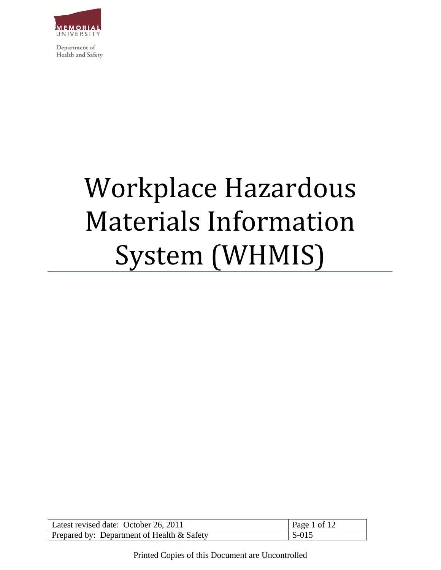

# Workplace Hazardous Materials Information System (WHMIS)

| Latest revised date: October 26, 2011      | Page 1 of 12 |
|--------------------------------------------|--------------|
| Prepared by: Department of Health & Safety | $S-015$      |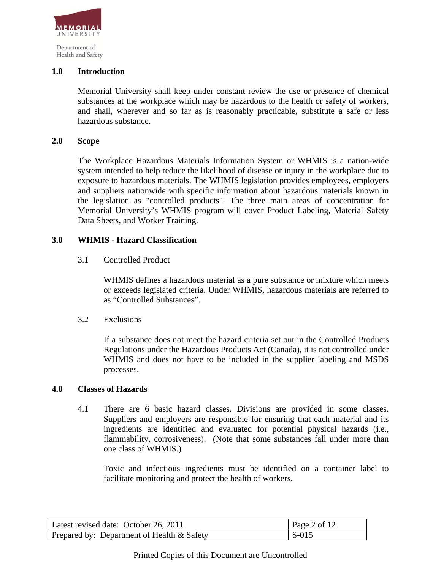

## **1.0 Introduction**

Memorial University shall keep under constant review the use or presence of chemical substances at the workplace which may be hazardous to the health or safety of workers, and shall, wherever and so far as is reasonably practicable, substitute a safe or less hazardous substance.

#### **2.0 Scope**

The Workplace Hazardous Materials Information System or WHMIS is a nation-wide system intended to help reduce the likelihood of disease or injury in the workplace due to exposure to hazardous materials. The WHMIS legislation provides employees, employers and suppliers nationwide with specific information about hazardous materials known in the legislation as "controlled products". The three main areas of concentration for Memorial University's WHMIS program will cover Product Labeling, Material Safety Data Sheets, and Worker Training.

#### **3.0 WHMIS - Hazard Classification**

3.1 Controlled Product

WHMIS defines a hazardous material as a pure substance or mixture which meets or exceeds legislated criteria. Under WHMIS, hazardous materials are referred to as "Controlled Substances".

#### 3.2 Exclusions

If a substance does not meet the hazard criteria set out in the Controlled Products Regulations under the Hazardous Products Act (Canada), it is not controlled under WHMIS and does not have to be included in the supplier labeling and MSDS processes.

#### **4.0 Classes of Hazards**

4.1 There are 6 basic hazard classes. Divisions are provided in some classes. Suppliers and employers are responsible for ensuring that each material and its ingredients are identified and evaluated for potential physical hazards (i.e., flammability, corrosiveness). (Note that some substances fall under more than one class of WHMIS.)

Toxic and infectious ingredients must be identified on a container label to facilitate monitoring and protect the health of workers.

| Latest revised date: October 26, 2011      | Page 2 of 12 |
|--------------------------------------------|--------------|
| Prepared by: Department of Health & Safety | S-015        |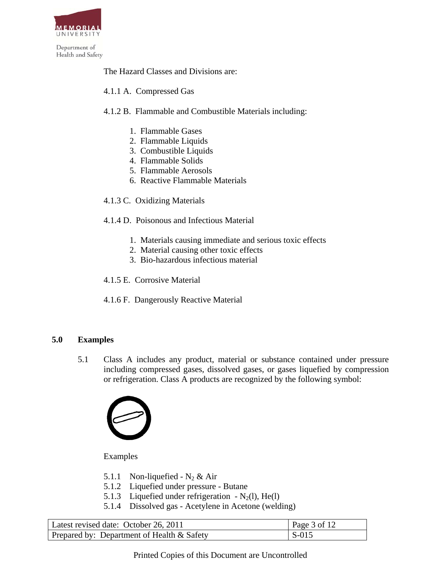

The Hazard Classes and Divisions are:

4.1.1 A. Compressed Gas

# 4.1.2 B. Flammable and Combustible Materials including:

- 1. Flammable Gases
- 2. Flammable Liquids
- 3. Combustible Liquids
- 4. Flammable Solids
- 5. Flammable Aerosols
- 6. Reactive Flammable Materials
- 4.1.3 C. Oxidizing Materials

## 4.1.4 D. Poisonous and Infectious Material

- 1. Materials causing immediate and serious toxic effects
- 2. Material causing other toxic effects
- 3. Bio-hazardous infectious material
- 4.1.5 E. Corrosive Material
- 4.1.6 F. Dangerously Reactive Material

## **5.0 Examples**

5.1 Class A includes any product, material or substance contained under pressure including compressed gases, dissolved gases, or gases liquefied by compression or refrigeration. Class A products are recognized by the following symbol:



Examples

- 5.1.1 Non-liquefied  $N_2 \&$  Air
- 5.1.2 Liquefied under pressure Butane
- 5.1.3 Liquefied under refrigeration  $N_2(l)$ , He(l)
- 5.1.4 Dissolved gas Acetylene in Acetone (welding)

| Latest revised date: October 26, 2011      | Page 3 of 12            |
|--------------------------------------------|-------------------------|
| Prepared by: Department of Health & Safety | $\mathsf{S}\text{-}015$ |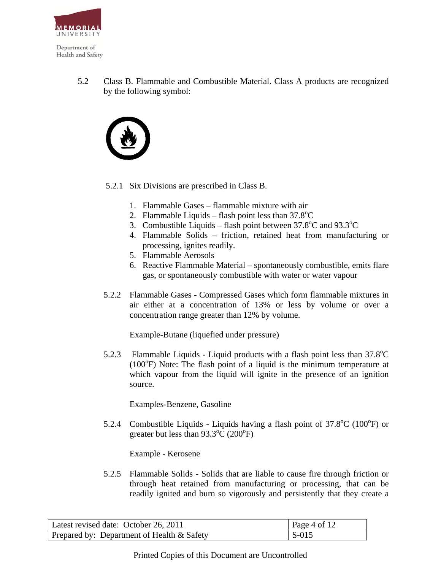

5.2 Class B. Flammable and Combustible Material. Class A products are recognized by the following symbol:



- 5.2.1 Six Divisions are prescribed in Class B.
	- 1. Flammable Gases flammable mixture with air
	- 2. Flammable Liquids flash point less than  $37.8^{\circ}$ C
	- 3. Combustible Liquids flash point between  $37.8^{\circ}$ C and  $93.3^{\circ}$ C
	- 4. Flammable Solids friction, retained heat from manufacturing or processing, ignites readily.
	- 5. Flammable Aerosols
	- 6. Reactive Flammable Material spontaneously combustible, emits flare gas, or spontaneously combustible with water or water vapour
- 5.2.2 Flammable Gases Compressed Gases which form flammable mixtures in air either at a concentration of 13% or less by volume or over a concentration range greater than 12% by volume.

Example-Butane (liquefied under pressure)

5.2.3 Flammable Liquids - Liquid products with a flash point less than  $37.8^{\circ}$ C  $(100^{\circ}$ F) Note: The flash point of a liquid is the minimum temperature at which vapour from the liquid will ignite in the presence of an ignition source.

Examples-Benzene, Gasoline

5.2.4 Combustible Liquids - Liquids having a flash point of  $37.8^{\circ}$ C (100 $^{\circ}$ F) or greater but less than  $93.3^{\circ}$ C (200 $^{\circ}$ F)

Example - Kerosene

5.2.5 Flammable Solids - Solids that are liable to cause fire through friction or through heat retained from manufacturing or processing, that can be readily ignited and burn so vigorously and persistently that they create a

| Latest revised date: October 26, 2011        | Page 4 of $12$          |
|----------------------------------------------|-------------------------|
| Prepared by: Department of Health $&$ Safety | $\mathsf{S}\text{-}015$ |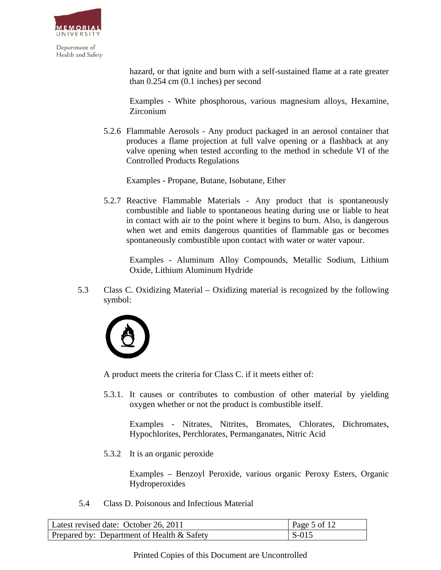

> hazard, or that ignite and burn with a self-sustained flame at a rate greater than 0.254 cm (0.1 inches) per second

> Examples - White phosphorous, various magnesium alloys, Hexamine, Zirconium

5.2.6 Flammable Aerosols - Any product packaged in an aerosol container that produces a flame projection at full valve opening or a flashback at any valve opening when tested according to the method in schedule VI of the Controlled Products Regulations

Examples - Propane, Butane, Isobutane, Ether

5.2.7 Reactive Flammable Materials - Any product that is spontaneously combustible and liable to spontaneous heating during use or liable to heat in contact with air to the point where it begins to burn. Also, is dangerous when wet and emits dangerous quantities of flammable gas or becomes spontaneously combustible upon contact with water or water vapour.

Examples - Aluminum Alloy Compounds, Metallic Sodium, Lithium Oxide, Lithium Aluminum Hydride

 5.3 Class C. Oxidizing Material – Oxidizing material is recognized by the following symbol:



A product meets the criteria for Class C. if it meets either of:

5.3.1. It causes or contributes to combustion of other material by yielding oxygen whether or not the product is combustible itself.

Examples - Nitrates, Nitrites, Bromates, Chlorates, Dichromates, Hypochlorites, Perchlorates, Permanganates, Nitric Acid

5.3.2 It is an organic peroxide

Examples – Benzoyl Peroxide, various organic Peroxy Esters, Organic Hydroperoxides

5.4 Class D. Poisonous and Infectious Material

| Latest revised date: October 26, 2011        | Page 5 of 12 |
|----------------------------------------------|--------------|
| Prepared by: Department of Health $&$ Safety | l S-015      |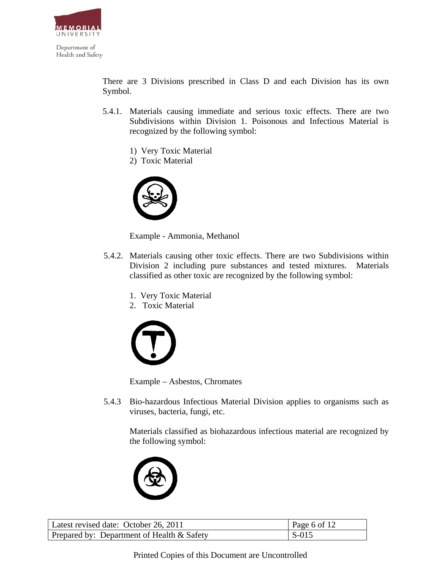

There are 3 Divisions prescribed in Class D and each Division has its own Symbol.

- 5.4.1. Materials causing immediate and serious toxic effects. There are two Subdivisions within Division 1. Poisonous and Infectious Material is recognized by the following symbol:
	- 1) Very Toxic Material
	- 2) Toxic Material



Example - Ammonia, Methanol

- 5.4.2. Materials causing other toxic effects. There are two Subdivisions within Division 2 including pure substances and tested mixtures. Materials classified as other toxic are recognized by the following symbol:
	- 1. Very Toxic Material
	- 2. Toxic Material



Example – Asbestos, Chromates

 5.4.3 Bio-hazardous Infectious Material Division applies to organisms such as viruses, bacteria, fungi, etc.

Materials classified as biohazardous infectious material are recognized by the following symbol:



| Latest revised date: October 26, 2011         | Page 6 of 12  |
|-----------------------------------------------|---------------|
| Prepared by: Department of Health $\&$ Safety | $\vert$ S-015 |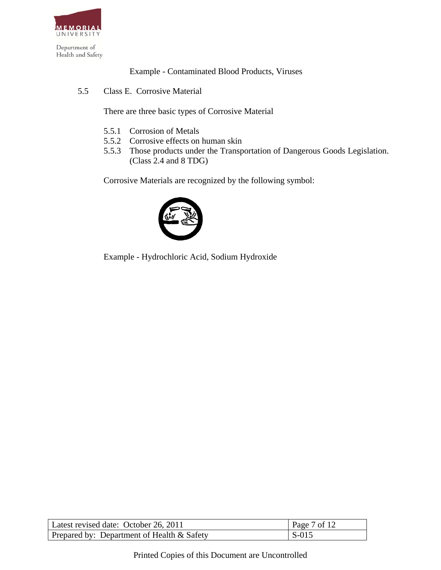

Example - Contaminated Blood Products, Viruses

5.5 Class E. Corrosive Material

There are three basic types of Corrosive Material

- 5.5.1 Corrosion of Metals
- 5.5.2 Corrosive effects on human skin
- 5.5.3 Those products under the Transportation of Dangerous Goods Legislation. (Class 2.4 and 8 TDG)

Corrosive Materials are recognized by the following symbol:



Example - Hydrochloric Acid, Sodium Hydroxide

| Latest revised date: October 26, 2011         | Page 7 of 12 |
|-----------------------------------------------|--------------|
| Prepared by: Department of Health $\&$ Safety | $S-015$      |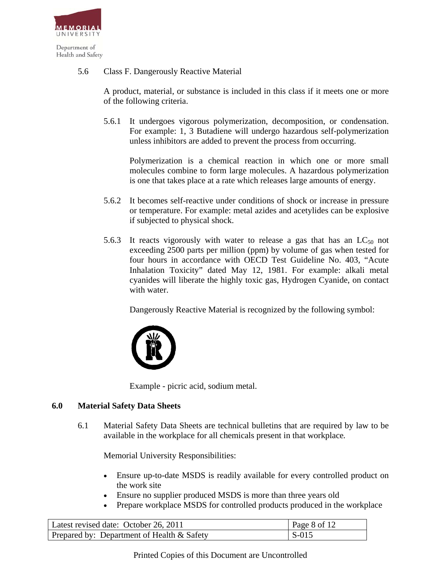

# 5.6 Class F. Dangerously Reactive Material

A product, material, or substance is included in this class if it meets one or more of the following criteria.

5.6.1 It undergoes vigorous polymerization, decomposition, or condensation. For example: 1, 3 Butadiene will undergo hazardous self-polymerization unless inhibitors are added to prevent the process from occurring.

Polymerization is a chemical reaction in which one or more small molecules combine to form large molecules. A hazardous polymerization is one that takes place at a rate which releases large amounts of energy.

- 5.6.2 It becomes self-reactive under conditions of shock or increase in pressure or temperature. For example: metal azides and acetylides can be explosive if subjected to physical shock.
- 5.6.3 It reacts vigorously with water to release a gas that has an  $LC_{50}$  not exceeding 2500 parts per million (ppm) by volume of gas when tested for four hours in accordance with OECD Test Guideline No. 403, "Acute Inhalation Toxicity" dated May 12, 1981. For example: alkali metal cyanides will liberate the highly toxic gas, Hydrogen Cyanide, on contact with water.

Dangerously Reactive Material is recognized by the following symbol:



Example - picric acid, sodium metal.

## **6.0 Material Safety Data Sheets**

6.1 Material Safety Data Sheets are technical bulletins that are required by law to be available in the workplace for all chemicals present in that workplace*.*

Memorial University Responsibilities:

- Ensure up-to-date MSDS is readily available for every controlled product on the work site
- Ensure no supplier produced MSDS is more than three years old
- Prepare workplace MSDS for controlled products produced in the workplace

| Latest revised date: October 26, 2011      | Page 8 of 12  |
|--------------------------------------------|---------------|
| Prepared by: Department of Health & Safety | $\vert$ S-015 |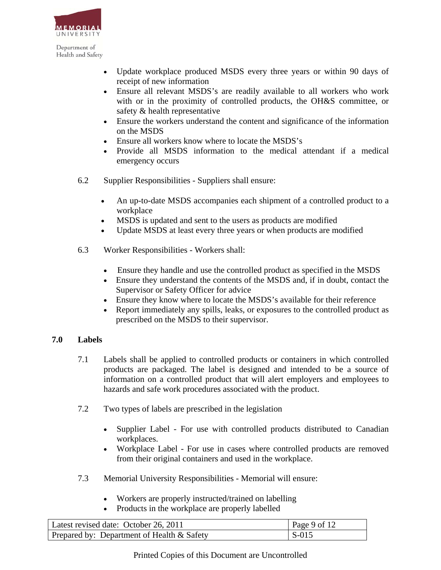

- Update workplace produced MSDS every three years or within 90 days of receipt of new information
- Ensure all relevant MSDS's are readily available to all workers who work with or in the proximity of controlled products, the OH&S committee, or safety & health representative
- Ensure the workers understand the content and significance of the information on the MSDS
- Ensure all workers know where to locate the MSDS's
- Provide all MSDS information to the medical attendant if a medical emergency occurs
- 6.2 Supplier Responsibilities Suppliers shall ensure:
	- An up-to-date MSDS accompanies each shipment of a controlled product to a workplace
	- MSDS is updated and sent to the users as products are modified
	- Update MSDS at least every three years or when products are modified
- 6.3 Worker Responsibilities Workers shall:
	- Ensure they handle and use the controlled product as specified in the MSDS
	- Ensure they understand the contents of the MSDS and, if in doubt, contact the Supervisor or Safety Officer for advice
	- Ensure they know where to locate the MSDS's available for their reference
	- Report immediately any spills, leaks, or exposures to the controlled product as prescribed on the MSDS to their supervisor.

## **7.0 Labels**

- 7.1 Labels shall be applied to controlled products or containers in which controlled products are packaged. The label is designed and intended to be a source of information on a controlled product that will alert employers and employees to hazards and safe work procedures associated with the product.
- 7.2 Two types of labels are prescribed in the legislation
	- Supplier Label For use with controlled products distributed to Canadian workplaces.
	- Workplace Label For use in cases where controlled products are removed from their original containers and used in the workplace.
- 7.3 Memorial University Responsibilities Memorial will ensure:
	- Workers are properly instructed/trained on labelling
	- Products in the workplace are properly labelled

| Latest revised date: October 26, 2011         | Page 9 of 12 |
|-----------------------------------------------|--------------|
| Prepared by: Department of Health $\&$ Safety | $\sim$ S-015 |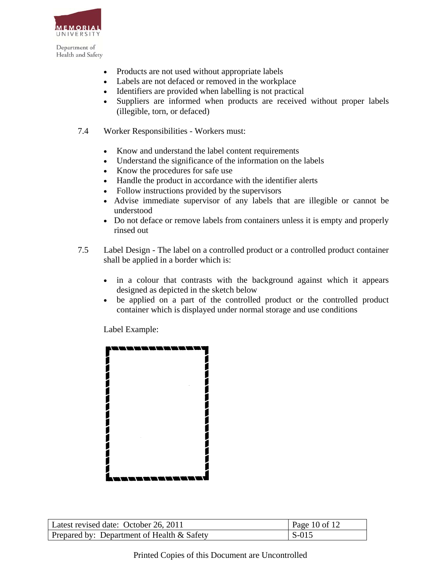

- Products are not used without appropriate labels
- Labels are not defaced or removed in the workplace
- Identifiers are provided when labelling is not practical
- Suppliers are informed when products are received without proper labels (illegible, torn, or defaced)
- 7.4 Worker Responsibilities Workers must:
	- Know and understand the label content requirements
	- Understand the significance of the information on the labels
	- Know the procedures for safe use
	- Handle the product in accordance with the identifier alerts
	- Follow instructions provided by the supervisors
	- Advise immediate supervisor of any labels that are illegible or cannot be understood
	- Do not deface or remove labels from containers unless it is empty and properly rinsed out
- 7.5 Label Design The label on a controlled product or a controlled product container shall be applied in a border which is:
	- in a colour that contrasts with the background against which it appears designed as depicted in the sketch below
	- be applied on a part of the controlled product or the controlled product container which is displayed under normal storage and use conditions

Label Example:



| Latest revised date: October 26, 2011      | Page 10 of 12 |
|--------------------------------------------|---------------|
| Prepared by: Department of Health & Safety | $\sim$ S-015  |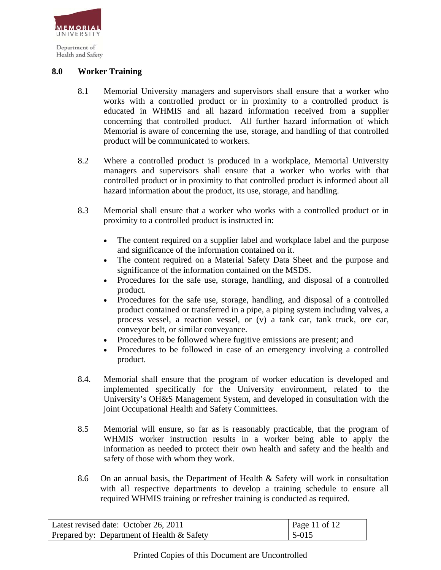

Health and Safety

## **8.0 Worker Training**

- 8.1 Memorial University managers and supervisors shall ensure that a worker who works with a controlled product or in proximity to a controlled product is educated in WHMIS and all hazard information received from a supplier concerning that controlled product. All further hazard information of which Memorial is aware of concerning the use, storage, and handling of that controlled product will be communicated to workers.
- 8.2 Where a controlled product is produced in a workplace, Memorial University managers and supervisors shall ensure that a worker who works with that controlled product or in proximity to that controlled product is informed about all hazard information about the product, its use, storage, and handling.
- 8.3 Memorial shall ensure that a worker who works with a controlled product or in proximity to a controlled product is instructed in:
	- The content required on a supplier label and workplace label and the purpose and significance of the information contained on it.
	- The content required on a Material Safety Data Sheet and the purpose and significance of the information contained on the MSDS.
	- Procedures for the safe use, storage, handling, and disposal of a controlled product.
	- Procedures for the safe use, storage, handling, and disposal of a controlled product contained or transferred in a pipe, a piping system including valves, a process vessel, a reaction vessel, or (v) a tank car, tank truck, ore car, conveyor belt, or similar conveyance.
	- Procedures to be followed where fugitive emissions are present; and
	- Procedures to be followed in case of an emergency involving a controlled product.
- 8.4. Memorial shall ensure that the program of worker education is developed and implemented specifically for the University environment, related to the University's OH&S Management System, and developed in consultation with the joint Occupational Health and Safety Committees.
- 8.5 Memorial will ensure, so far as is reasonably practicable, that the program of WHMIS worker instruction results in a worker being able to apply the information as needed to protect their own health and safety and the health and safety of those with whom they work.
- 8.6 On an annual basis, the Department of Health & Safety will work in consultation with all respective departments to develop a training schedule to ensure all required WHMIS training or refresher training is conducted as required.

| Latest revised date: October 26, 2011      | $\vert$ Page 11 of 12 |
|--------------------------------------------|-----------------------|
| Prepared by: Department of Health & Safety | $\vert$ S-015         |